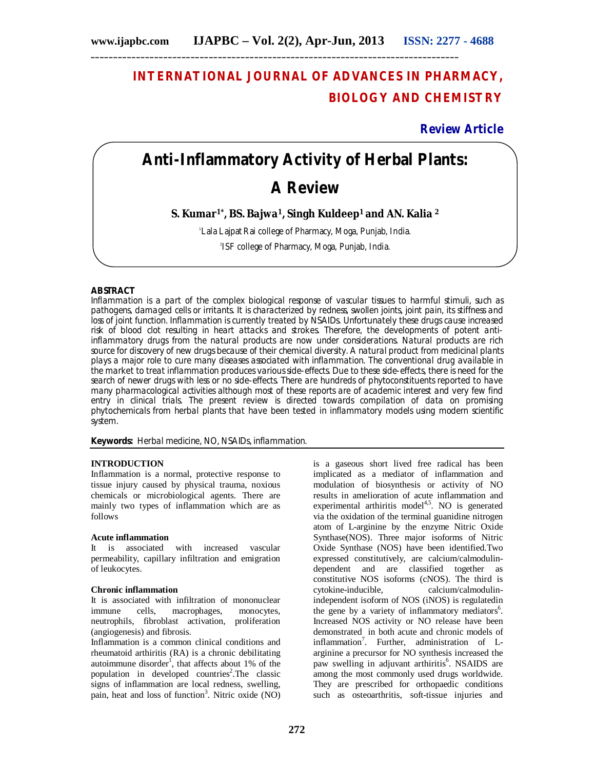# **INTERNATIONAL JOURNAL OF ADVANCES IN PHARMACY, BIOLOGY AND CHEMISTRY**

**Review Article**

# **Anti-Inflammatory Activity of Herbal Plants:**

# **A Review**

**S. Kumar1\* , BS. Bajwa1, Singh Kuldeep1 and AN. Kalia <sup>2</sup>**

<sup>1</sup> Lala Lajpat Rai college of Pharmacy, Moga, Punjab, India.

2 ISF college of Pharmacy, Moga, Punjab, India.

# **ABSTRACT**

Inflammation is a part of the complex biological response of vascular tissues to harmful stimuli, such as pathogens, damaged cells or irritants. It is characterized by redness, swollen joints, joint pain, its stiffness and loss of joint function. Inflammation is currently treated by NSAIDs. Unfortunately these drugs cause increased risk of blood clot resulting in heart attacks and strokes. Therefore, the developments of potent antiinflammatory drugs from the natural products are now under considerations. Natural products are rich source for discovery of new drugs because of their chemical diversity. A natural product from medicinal plants plays a major role to cure many diseases associated with inflammation. The conventional drug available in the market to treat inflammation produces various side-effects. Due to these side-effects, there is need for the search of newer drugs with less or no side-effects. There are hundreds of phytoconstituents reported to have many pharmacological activities although most of these reports are of academic interest and very few find entry in clinical trials. The present review is directed towards compilation of data on promising phytochemicals from herbal plants that have been tested in inflammatory models using modern scientific system.

**Keywords:** Herbal medicine, NO, NSAIDs, inflammation.

# **INTRODUCTION**

Inflammation is a normal, protective response to tissue injury caused by physical trauma, noxious chemicals or microbiological agents. There are mainly two types of inflammation which are as follows

# **Acute inflammation**

It is associated with increased vascular permeability, capillary infiltration and emigration of leukocytes.

# **Chronic inflammation**

It is associated with infiltration of mononuclear immune cells, macrophages, monocytes, neutrophils, fibroblast activation, proliferation (angiogenesis) and fibrosis.

Inflammation is a common clinical conditions and rheumatoid arthiritis (RA) is a chronic debilitating autoimmune disorder<sup>1</sup>, that affects about 1% of the population in developed countries<sup>2</sup>. The classic signs of inflammation are local redness, swelling, pain, heat and loss of function<sup>3</sup>. Nitric oxide (NO) is a gaseous short lived free radical has been implicated as a mediator of inflammation and modulation of biosynthesis or activity of NO results in amelioration of acute inflammation and experimental arthiritis model $4.5$ . NO is generated via the oxidation of the terminal guanidine nitrogen atom of L-arginine by the enzyme Nitric Oxide Synthase(NOS). Three major isoforms of Nitric Oxide Synthase (NOS) have been identified.Two expressed constitutively, are calcium/calmodulindependent and are classified together as constitutive NOS isoforms (cNOS). The third is cytokine-inducible, calcium/calmodulinindependent isoform of NOS (iNOS) is regulatedin the gene by a variety of inflammatory mediators<sup>6</sup>. Increased NOS activity or NO release have been demonstrated in both acute and chronic models of inflammation<sup>7</sup>. Further, administration of Larginine a precursor for NO synthesis increased the paw swelling in adjuvant arthiritis<sup>6</sup>. NSAIDS are among the most commonly used drugs worldwide. They are prescribed for orthopaedic conditions such as osteoarthritis, soft-tissue injuries and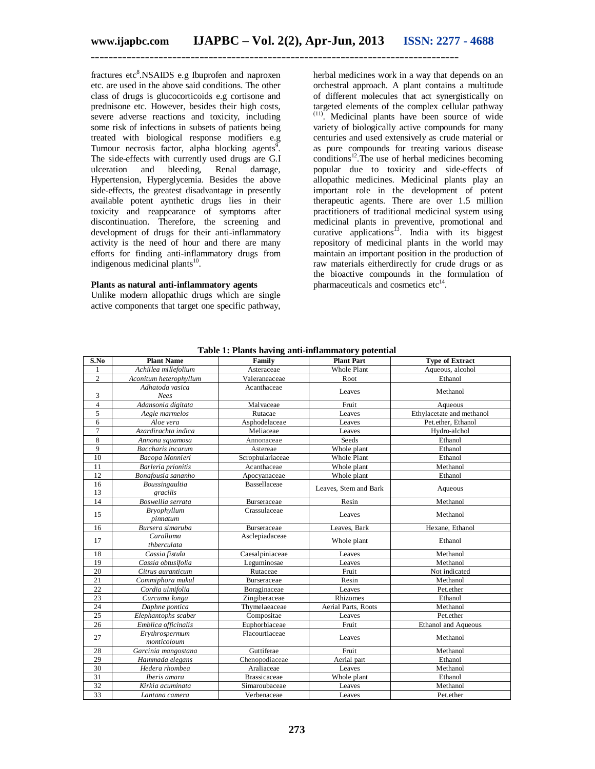fractures etc<sup>8</sup>.NSAIDS e.g Ibuprofen and naproxen etc. are used in the above said conditions. The other class of drugs is glucocorticoids e.g cortisone and prednisone etc. However, besides their high costs, severe adverse reactions and toxicity, including some risk of infections in subsets of patients being treated with biological response modifiers e.g Tumour necrosis factor, alpha blocking agents<sup>9</sup>. The side-effects with currently used drugs are G.I ulceration and bleeding, Renal damage, Hypertension, Hyperglycemia. Besides the above side-effects, the greatest disadvantage in presently available potent aynthetic drugs lies in their toxicity and reappearance of symptoms after discontinuation. Therefore, the screening and development of drugs for their anti-inflammatory activity is the need of hour and there are many efforts for finding anti-inflammatory drugs from indigenous medicinal plants<sup>10</sup>.

#### **Plants as natural anti-inflammatory agents**

Unlike modern allopathic drugs which are single active components that target one specific pathway,

herbal medicines work in a way that depends on an orchestral approach. A plant contains a multitude of different molecules that act synergistically on targeted elements of the complex cellular pathway  $(11)$ . Medicinal plants have been source of wide variety of biologically active compounds for many centuries and used extensively as crude material or as pure compounds for treating various disease  $conditions<sup>12</sup>$ . The use of herbal medicines becoming popular due to toxicity and side-effects of allopathic medicines. Medicinal plants play an important role in the development of potent therapeutic agents. There are over 1.5 million practitioners of traditional medicinal system using medicinal plants in preventive, promotional and curative applications<sup>13</sup>. India with its biggest repository of medicinal plants in the world may maintain an important position in the production of raw materials eitherdirectly for crude drugs or as the bioactive compounds in the formulation of pharmaceuticals and cosmetics  $etc<sup>14</sup>$ .

| S.No           | <b>Plant Name</b>              | Family              | <b>Plant Part</b>     | <b>Type of Extract</b>     |
|----------------|--------------------------------|---------------------|-----------------------|----------------------------|
| 1              | Achillea millefolium           | Asteraceae          | Whole Plant           | Aqueous, alcohol           |
| $\overline{c}$ | Aconitum heterophyllum         | Valeraneaceae       | Root                  | Ethanol                    |
|                | Adhatoda vasica                | Acanthaceae         | Leaves                | Methanol                   |
| 3              | <b>Nees</b>                    |                     |                       |                            |
| 4              | Adansonia digitata             | Malvaceae           | Fruit                 | Aqueous                    |
| 5              | Aegle marmelos                 | Rutacae             | Leaves                | Ethylacetate and methanol  |
| 6              | Aloe vera                      | Asphodelaceae       | Leaves                | Pet.ether, Ethanol         |
| $\overline{7}$ | Azardirachta indica            | Meliaceae           | Leaves                | Hydro-alchol               |
| 8              | Annona squamosa                | Annonaceae          | Seeds                 | Ethanol                    |
| 9              | <b>Baccharis</b> incarum       | Astereae            | Whole plant           | Ethanol                    |
| 10             | Bacopa Monnieri                | Scrophulariaceae    | Whole Plant           | Ethanol                    |
| 11             | Barleria prionitis             | Acanthaceae         | Whole plant           | Methanol                   |
| 12             | Bonafousia sananho             | Apocyanaceae        | Whole plant           | Ethanol                    |
| 16<br>13       | Boussingaultia<br>gracilis     | Bassellaceae        | Leaves, Stem and Bark | Aqueous                    |
| 14             | Boswellia serrata              | Burseraceae         | Resin                 | Methanol                   |
| 15             | <b>Bryophyllum</b><br>pinnatum | Crassulaceae        | Leaves                | Methanol                   |
| 16             | Bursera simaruba               | Burseraceae         | Leaves, Bark          | Hexane, Ethanol            |
| 17             | Caralluma<br>thberculata       | Asclepiadaceae      | Whole plant           | Ethanol                    |
| 18             | Cassia fistula                 | Caesalpiniaceae     | Leaves                | Methanol                   |
| 19             | Cassia obtusifolia             | Leguminosae         | Leaves                | Methanol                   |
| 20             | Citrus auranticum              | Rutaceae            | Fruit                 | Not indicated              |
| 21             | Commiphora mukul               | Burseraceae         | Resin                 | Methanol                   |
| 22             | Cordia ulmifolia               | Boraginaceae        | Leaves                | Pet.ether                  |
| 23             | Curcuma longa                  | Zingiberaceae       | Rhizomes              | Ethanol                    |
| 24             | Daphne pontica                 | Thymelaeaceae       | Aerial Parts, Roots   | Methanol                   |
| 25             | Elephantophs scaber            | Compositae          | Leaves                | Pet.ether                  |
| 26             | Emblica officinalis            | Euphorbiaceae       | Fruit                 | <b>Ethanol</b> and Aqueous |
| 27             | Erythrospermum<br>monticoloum  | Flacourtiaceae      | Leaves                | Methanol                   |
| 28             | Garcinia mangostana            | Guttiferae          | Fruit                 | Methanol                   |
| 29             | Hammada elegans                | Chenopodiaceae      | Aerial part           | Ethanol                    |
| 30             | Hedera rhombea                 | Araliaceae          | Leaves                | Methanol                   |
| 31             | Iberis amara                   | <b>Brassicaceae</b> | Whole plant           | Ethanol                    |
| 32             | Kirkia acuminata               | Simaroubaceae       | Leaves                | Methanol                   |
| 33             | Lantana camera                 | Verbenaceae         | Leaves                | Pet.ether                  |

**Table 1: Plants having anti-inflammatory potential**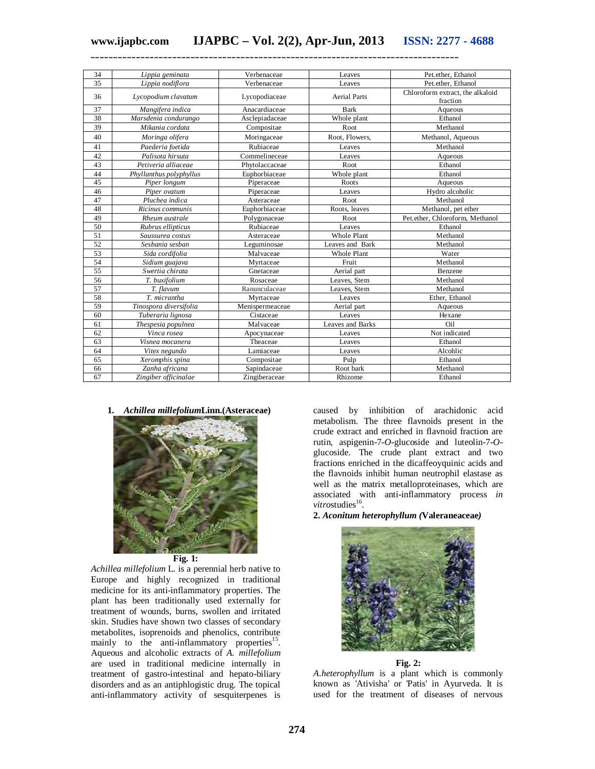| 34 | Lippia geminata         | Verbenaceae     | Leaves              | Pet.ether. Ethanol               |
|----|-------------------------|-----------------|---------------------|----------------------------------|
| 35 | Lippia nodiflora        | Verbenaceae     | Leaves              | Pet.ether, Ethanol               |
| 36 | Lycopodium clavatum     | Lycopodiaceae   | <b>Aerial Parts</b> | Chloroform extract, the alkaloid |
|    |                         |                 |                     | fraction                         |
| 37 | Mangifera indica        | Anacardiaceae   | <b>Bark</b>         | Aqueous                          |
| 38 | Marsdenia condurango    | Asclepiadaceae  | Whole plant         | Ethanol                          |
| 39 | Mikania cordata         | Compositae      | Root                | Methanol                         |
| 40 | Moringa olifera         | Moringaceae     | Root, Flowers,      | Methanol, Aqueous                |
| 41 | Paederia foetida        | Rubiaceae       | Leaves              | Methanol                         |
| 42 | Palisota hirsuta        | Commelineceae   | Leaves              | Aqueous                          |
| 43 | Petiveria alliaceae     | Phytolaccaceae  | Root                | Ethanol                          |
| 44 | Phyllanthus polyphyllus | Euphorbiaceae   | Whole plant         | Ethanol                          |
| 45 | Piper longum            | Piperaceae      | Roots               | Aqueous                          |
| 46 | Piper ovatum            | Piperaceae      | Leaves              | Hydro alcoholic                  |
| 47 | Pluchea indica          | Asteraceae      | Root                | Methanol                         |
| 48 | Ricinus communis        | Euphorbiaceae   | Roots, leaves       | Methanol, pet ether              |
| 49 | Rheum australe          | Polygonaceae    | Root                | Pet.ether, Chloroform, Methanol  |
| 50 | Rubrus ellipticus       | Rubiaceae       | Leaves              | Ethanol                          |
| 51 | Saussurea costus        | Asteraceae      | <b>Whole Plant</b>  | Methanol                         |
| 52 | Sesbania sesban         | Leguminosae     | Leaves and Bark     | Methanol                         |
| 53 | Sida cordifolia         | Malvaceae       | <b>Whole Plant</b>  | Water                            |
| 54 | Sidium guajava          | Myrtaceae       | Fruit               | Methanol                         |
| 55 | Swertia chirata         | Gnetaceae       | Aerial part         | Benzene                          |
| 56 | T. buxifolium           | Rosaceae        | Leaves, Stem        | Methanol                         |
| 57 | T. flavum               | Ranunculaceae   | Leaves, Stem        | Methanol                         |
| 58 | T. micrantha            | Myrtaceae       | Leaves              | Ether, Ethanol                   |
| 59 | Tinospora diversifolia  | Menispermeaceae | Aerial part         | Aqueous                          |
| 60 | Tuberaria lignosa       | Cistaceae       | Leaves              | Hexane                           |
| 61 | Thespesia populnea      | Malvaceae       | Leaves and Barks    | Oil                              |
| 62 | Vinca rosea             | Apocynaceae     | Leaves              | Not indicated                    |
| 63 | Visnea mocanera         | Theaceae        | Leaves              | Ethanol                          |
| 64 | Vitex negundo           | Lamiaceae       | Leaves              | Alcohlic                         |
| 65 | Xeromphis spina         | Compositae      | Pulp                | Ethanol                          |
| 66 | Zanha africana          | Sapindaceae     | Root bark           | Methanol                         |
| 67 | Zingiber officinalae    | Zingiberaceae   | Rhizome             | Ethanol                          |

**1.** *Achillea millefolium***Linn.(Asteraceae)**



**Fig. 1:**

*Achillea millefolium* L. is a perennial herb native to Europe and highly recognized in traditional medicine for its anti-inflammatory properties. The plant has been traditionally used externally for treatment of wounds, burns, swollen and irritated skin. Studies have shown two classes of secondary metabolites, isoprenoids and phenolics, contribute mainly to the anti-inflammatory properties<sup>15</sup>. Aqueous and alcoholic extracts of *A. millefolium* are used in traditional medicine internally in treatment of gastro-intestinal and hepato-biliary disorders and as an antiphlogistic drug. The topical anti-inflammatory activity of sesquiterpenes is

caused by inhibition of arachidonic acid metabolism. The three flavnoids present in the crude extract and enriched in flavnoid fraction are rutin, aspigenin-7-*O*-glucoside and luteolin-7-*O*glucoside. The crude plant extract and two fractions enriched in the dicaffeoyquinic acids and the flavnoids inhibit human neutrophil elastase as well as the matrix metalloproteinases, which are associated with anti-inflammatory process *in*  vitrostudies<sup>16</sup>.

#### **2.** *Aconitum heterophyllum (***Valeraneaceae***)*



**Fig. 2:**

*A.heterophyllum* is a plant which is commonly known as 'Ativisha' or 'Patis' in Ayurveda. It is used for the treatment of diseases of nervous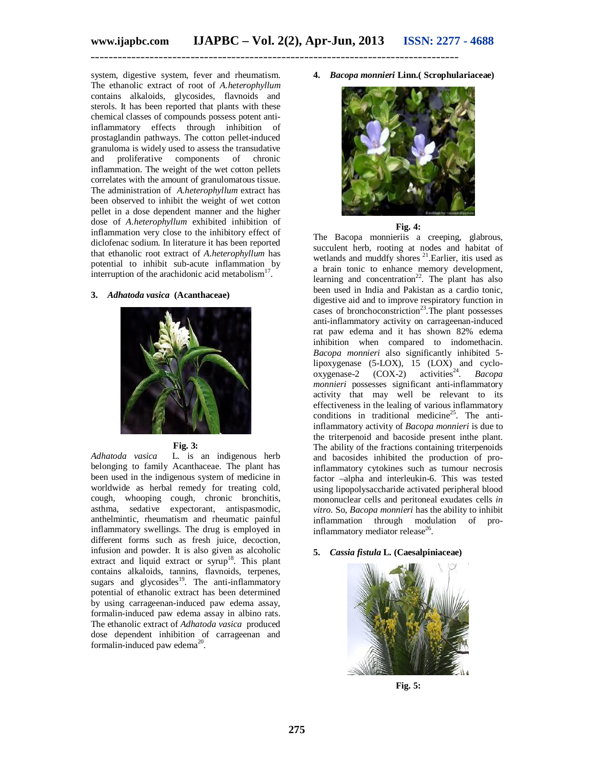system, digestive system, fever and rheumatism. The ethanolic extract of root of *A.heterophyllum* contains alkaloids, glycosides, flavnoids and sterols. It has been reported that plants with these chemical classes of compounds possess potent antiinflammatory effects through inhibition of prostaglandin pathways. The cotton pellet-induced granuloma is widely used to assess the transudative and proliferative components of chronic inflammation. The weight of the wet cotton pellets correlates with the amount of granulomatous tissue. The administration of *A.heterophyllum* extract has been observed to inhibit the weight of wet cotton pellet in a dose dependent manner and the higher dose of *A.heterophyllum* exhibited inhibition of inflammation very close to the inhibitory effect of diclofenac sodium. In literature it has been reported that ethanolic root extract of *A.heterophyllum* has potential to inhibit sub-acute inflammation by interruption of the arachidonic acid metabolism $17$ .

#### **3.** *Adhatoda vasica* **(Acanthaceae)**





*Adhatoda vasica* L. is an indigenous herb belonging to family Acanthaceae. The plant has been used in the indigenous system of medicine in worldwide as herbal remedy for treating cold, cough, whooping cough, chronic bronchitis, asthma, sedative expectorant, antispasmodic, anthelmintic, rheumatism and rheumatic painful inflammatory swellings. The drug is employed in different forms such as fresh juice, decoction, infusion and powder. It is also given as alcoholic extract and liquid extract or  $symp<sup>18</sup>$ . This plant contains alkaloids, tannins, flavnoids, terpenes, sugars and glycosides<sup>19</sup>. The anti-inflammatory potential of ethanolic extract has been determined by using carrageenan-induced paw edema assay, formalin-induced paw edema assay in albino rats. The ethanolic extract of *Adhatoda vasica* produced dose dependent inhibition of carrageenan and formalin-induced paw edema<sup>20</sup> .

**4.** *Bacopa monnieri* **Linn.( Scrophulariaceae)**



#### **Fig. 4:**

The Bacopa monnieriis a creeping, glabrous, succulent herb, rooting at nodes and habitat of wetlands and muddfy shores <sup>21</sup>.Earlier, itis used as a brain tonic to enhance memory development, learning and concentration<sup>22</sup>. The plant has also been used in India and Pakistan as a cardio tonic, digestive aid and to improve respiratory function in cases of bronchoconstriction<sup>23</sup>. The plant possesses anti-inflammatory activity on carrageenan-induced rat paw edema and it has shown 82% edema inhibition when compared to indomethacin. *Bacopa monnieri* also significantly inhibited 5 lipoxygenase (5-LOX), 15 (LOX) and cyclo-<br>oxygenase-2 (COX-2) activities<sup>24</sup>. *Bacopa* oxygenase-2 (COX-2) activities<sup>24</sup>. *Bacopa monnieri* possesses significant anti-inflammatory activity that may well be relevant to its effectiveness in the lealing of various inflammatory conditions in traditional medicine<sup>25</sup>. The antiinflammatory activity of *Bacopa monnieri* is due to the triterpenoid and bacoside present inthe plant. The ability of the fractions containing triterpenoids and bacosides inhibited the production of proinflammatory cytokines such as tumour necrosis factor –alpha and interleukin-6. This was tested using lipopolysaccharide activated peripheral blood mononuclear cells and peritoneal exudates cells *in vitro*. So, *Bacopa monnieri* has the ability to inhibit inflammation through modulation of proinflammatory mediator release<sup>26</sup>.

### **5.** *Cassia fistula* **L. (Caesalpiniaceae)**



**Fig. 5:**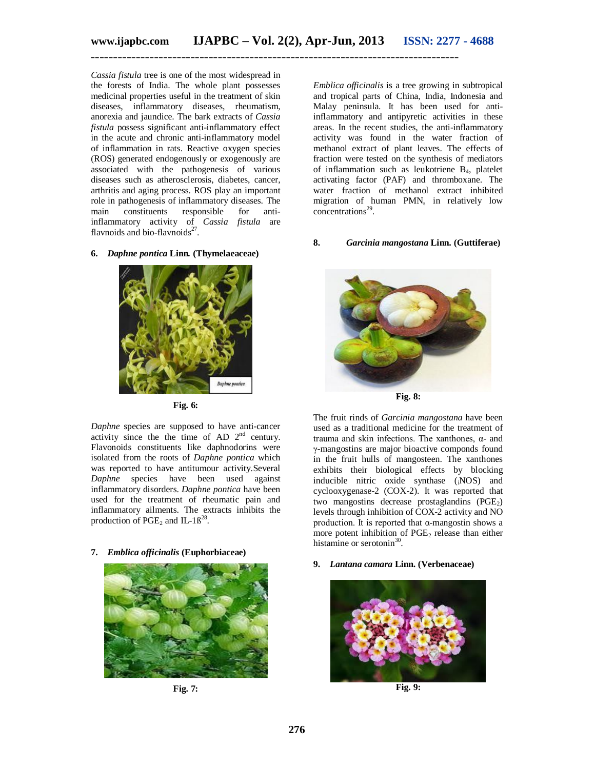*Cassia fistula* tree is one of the most widespread in the forests of India. The whole plant possesses medicinal properties useful in the treatment of skin diseases, inflammatory diseases, rheumatism, anorexia and jaundice. The bark extracts of *Cassia fistula* possess significant anti-inflammatory effect in the acute and chronic anti-inflammatory model of inflammation in rats. Reactive oxygen species (ROS) generated endogenously or exogenously are associated with the pathogenesis of various diseases such as atherosclerosis, diabetes, cancer, arthritis and aging process. ROS play an important role in pathogenesis of inflammatory diseases. The main constituents responsible for antiinflammatory activity of *Cassia fistula* are flavnoids and bio-flavnoids<sup>27</sup>.

#### **6.** *Daphne pontica* **Linn***.* **(Thymelaeaceae)**



**Fig. 6:**

*Daphne* species are supposed to have anti-cancer activity since the the time of AD 2nd century. Flavonoids constituents like daphnodorins were isolated from the roots of *Daphne pontica* which was reported to have antitumour activity.Several *Daphne* species have been used against inflammatory disorders. *Daphne pontica* have been used for the treatment of rheumatic pain and inflammatory ailments. The extracts inhibits the production of  $PGE_2$  and IL-1 $\beta^{28}$ .

#### **7.** *Emblica officinalis* **(Euphorbiaceae)**



**Fig. 7:**

*Emblica officinalis* is a tree growing in subtropical and tropical parts of China, India, Indonesia and Malay peninsula. It has been used for antiinflammatory and antipyretic activities in these areas. In the recent studies, the anti-inflammatory activity was found in the water fraction of methanol extract of plant leaves. The effects of fraction were tested on the synthesis of mediators of inflammation such as leukotriene  $B_4$ , platelet activating factor (PAF) and thromboxane. The water fraction of methanol extract inhibited migration of human  $PMN_s$  in relatively low concentrations<sup>29</sup>.

#### **8.** *Garcinia mangostana* **Linn. (Guttiferae)**



**Fig. 8:**

The fruit rinds of *Garcinia mangostana* have been used as a traditional medicine for the treatment of trauma and skin infections. The xanthones, α- and γ-mangostins are major bioactive componds found in the fruit hulls of mangosteen. The xanthones exhibits their biological effects by blocking inducible nitric oxide synthase (iNOS) and cyclooxygenase-2 (COX-2). It was reported that two mangostins decrease prostaglandins  $(PGE<sub>2</sub>)$ levels through inhibition of COX-2 activity and NO production. It is reported that  $\alpha$ -mangostin shows a more potent inhibition of  $PGE<sub>2</sub>$  release than either histamine or serotonin<sup>30</sup>.

#### **9.** *Lantana camara* **Linn. (Verbenaceae)**



**Fig. 9:**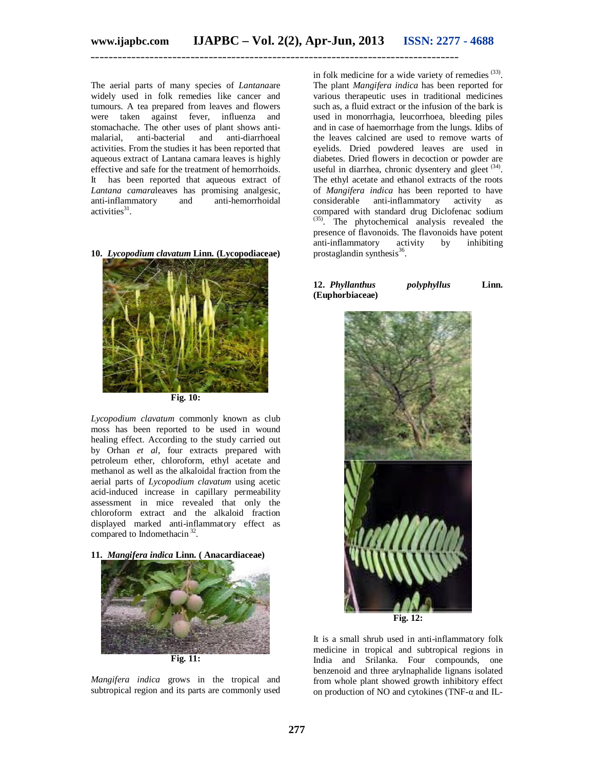The aerial parts of many species of *Lantana*are widely used in folk remedies like cancer and tumours. A tea prepared from leaves and flowers were taken against fever, influenza and stomachache. The other uses of plant shows antimalarial, anti-bacterial and anti-diarrhoeal activities. From the studies it has been reported that aqueous extract of Lantana camara leaves is highly effective and safe for the treatment of hemorrhoids. It has been reported that aqueous extract of *Lantana camara*leaves has promising analgesic, anti-inflammatory and anti-hemorrhoidal activities<sup>31</sup>.

**Fig. 10:**

**10.** *Lycopodium clavatum* **Linn. (Lycopodiaceae)**

*Lycopodium clavatum* commonly known as club moss has been reported to be used in wound healing effect. According to the study carried out by Orhan *et al*, four extracts prepared with petroleum ether, chloroform, ethyl acetate and methanol as well as the alkaloidal fraction from the aerial parts of *Lycopodium clavatum* using acetic acid-induced increase in capillary permeability assessment in mice revealed that only the chloroform extract and the alkaloid fraction displayed marked anti-inflammatory effect as compared to Indomethacin<sup>32</sup>.

**11.** *Mangifera indica* **Linn. ( Anacardiaceae)**



*Mangifera indica* grows in the tropical and subtropical region and its parts are commonly used

in folk medicine for a wide variety of remedies  $(33)$ . The plant *Mangifera indica* has been reported for various therapeutic uses in traditional medicines such as, a fluid extract or the infusion of the bark is used in monorrhagia, leucorrhoea, bleeding piles and in case of haemorrhage from the lungs. Idibs of the leaves calcined are used to remove warts of eyelids. Dried powdered leaves are used in diabetes. Dried flowers in decoction or powder are useful in diarrhea, chronic dysentery and gleet <sup>(34)</sup>. The ethyl acetate and ethanol extracts of the roots of *Mangifera indica* has been reported to have considerable anti-inflammatory activity as compared with standard drug Diclofenac sodium (35). The phytochemical analysis revealed the presence of flavonoids. The flavonoids have potent anti-inflammatory activity by inhibiting prostaglandin synthesis<sup>36</sup>.

**12.** *Phyllanthus polyphyllus* **Linn. (Euphorbiaceae)**



It is a small shrub used in anti-inflammatory folk medicine in tropical and subtropical regions in India and Srilanka. Four compounds, one benzenoid and three arylnaphalide lignans isolated from whole plant showed growth inhibitory effect on production of NO and cytokines (TNF-α and IL-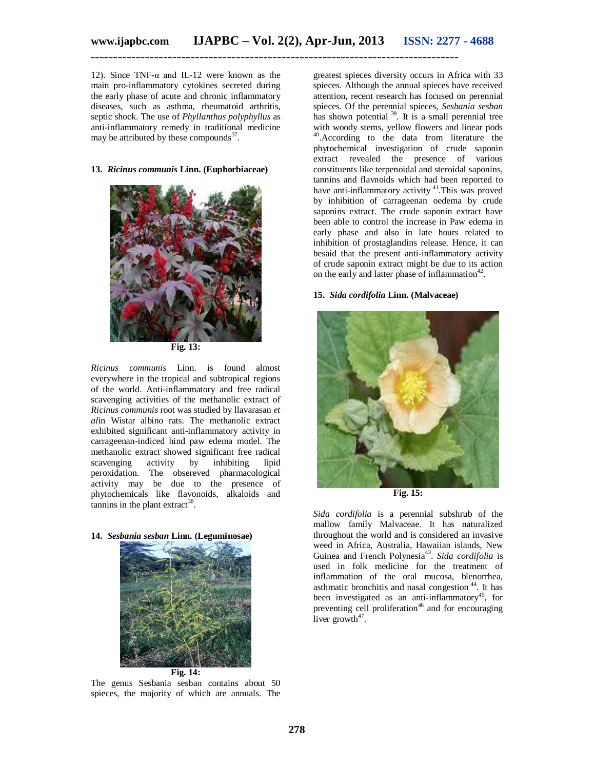12). Since TNF- $\alpha$  and IL-12 were known as the main pro-inflammatory cytokines secreted during the early phase of acute and chronic inflammatory diseases, such as asthma, rheumatoid arthritis, septic shock. The use of *Phyllanthus polyphyllus* as anti-inflammatory remedy in traditional medicine may be attributed by these compounds $37$ .

### **13.** *Ricinus communis* **Linn. (Euphorbiaceae)**



**Fig. 13:**

*Ricinus communis* Linn. is found almost everywhere in the tropical and subtropical regions of the world. Anti-inflammatory and free radical scavenging activities of the methanolic extract of *Ricinus communis* root was studied by llavarasan *et al*in Wistar albino rats. The methanolic extract exhibited significant anti-inflammatory activity in carrageenan-indiced hind paw edema model. The methanolic extract showed significant free radical scavenging activity by inhibiting lipid peroxidation. The obsereved pharmacological activity may be due to the presence of phytochemicals like flavonoids, alkaloids and  $t$ annins in the plant extract<sup>38</sup>.

#### **14.** *Sesbania sesban* **Linn. (Leguminosae)**



The genus Sesbania sesban contains about 50 spieces, the majority of which are annuals. The

greatest spieces diversity occurs in Africa with 33 spieces. Although the annual spieces have received attention, recent research has focused on perennial spieces. Of the perennial spieces, *Sesbania sesban* has shown potential <sup>39</sup>. It is a small perennial tree with woody stems, yellow flowers and linear pods <sup>40</sup>.According to the data from literature the phytochemical investigation of crude saponin extract revealed the presence of various constituents like terpenoidal and steroidal saponins, tannins and flavnoids which had been reported to have anti-inflammatory activity <sup>41</sup>. This was proved by inhibition of carrageenan oedema by crude saponins extract. The crude saponin extract have been able to control the increase in Paw edema in early phase and also in late hours related to inhibition of prostaglandins release. Hence, it can besaid that the present anti-inflammatory activity of crude saponin extract might be due to its action on the early and latter phase of inflammation<sup>42</sup>.

# **15.** *Sida cordifolia* **Linn. (Malvaceae)**



**Fig. 15:**

*Sida cordifolia* is a perennial subshrub of the mallow family Malvaceae. It has naturalized throughout the world and is considered an invasive weed in Africa, Australia, Hawaiian islands, New Guinea and French Polynesia<sup>43</sup>. Sida cordifolia is used in folk medicine for the treatment of inflammation of the oral mucosa, blenorrhea, asthmatic bronchitis and nasal congestion <sup>44</sup>. It has been investigated as an anti-inflammatory<sup>45</sup>, for preventing cell proliferation<sup>46</sup> and for encouraging liver growth $47$ .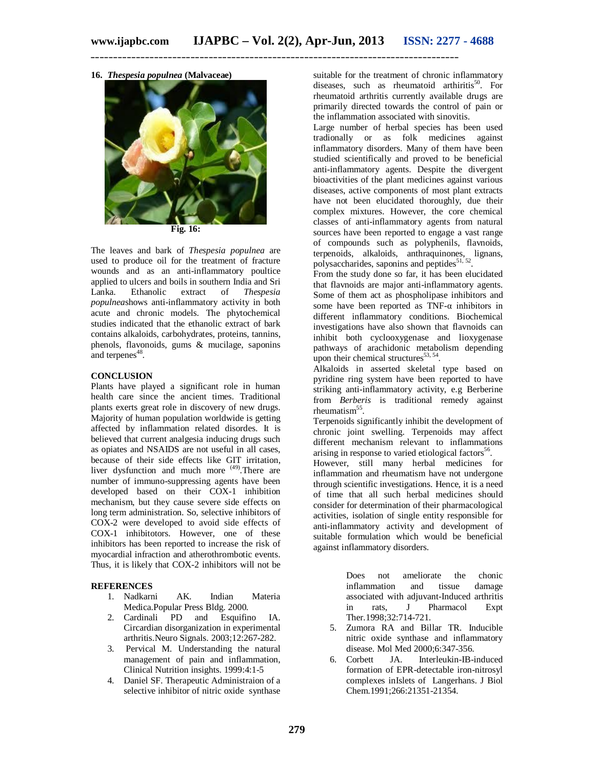**16.** *Thespesia populnea* **(Malvaceae)**



The leaves and bark of *Thespesia populnea* are used to produce oil for the treatment of fracture wounds and as an anti-inflammatory poultice applied to ulcers and boils in southern India and Sri Lanka. Ethanolic extract of *Thespesia populnea*shows anti-inflammatory activity in both acute and chronic models. The phytochemical studies indicated that the ethanolic extract of bark contains alkaloids, carbohydrates, proteins, tannins, phenols, flavonoids, gums & mucilage, saponins and terpenes<sup>48</sup>.

# **CONCLUSION**

Plants have played a significant role in human health care since the ancient times. Traditional plants exerts great role in discovery of new drugs. Majority of human population worldwide is getting affected by inflammation related disordes. It is believed that current analgesia inducing drugs such as opiates and NSAIDS are not useful in all cases, because of their side effects like GIT irritation, liver dysfunction and much more <sup>(49)</sup>. There are number of immuno-suppressing agents have been developed based on their COX-1 inhibition mechanism, but they cause severe side effects on long term administration. So, selective inhibitors of COX-2 were developed to avoid side effects of COX-1 inhibitotors. However, one of these inhibitors has been reported to increase the risk of myocardial infraction and atherothrombotic events. Thus, it is likely that COX-2 inhibitors will not be

### **REFERENCES**

- 1. Nadkarni AK. Indian Materia Medica.Popular Press Bldg. 2000.
- 2. Cardinali PD and Esquifino IA. Circardian disorganization in experimental arthritis.Neuro Signals. 2003;12:267-282.
- 3. Pervical M. Understanding the natural management of pain and inflammation, Clinical Nutrition insights. 1999:4:1-5
- 4. Daniel SF. Therapeutic Administraion of a selective inhibitor of nitric oxide synthase

suitable for the treatment of chronic inflammatory diseases, such as rheumatoid arthiritis $50$ . For rheumatoid arthritis currently available drugs are primarily directed towards the control of pain or the inflammation associated with sinovitis.

Large number of herbal species has been used tradionally or as folk medicines against inflammatory disorders. Many of them have been studied scientifically and proved to be beneficial anti-inflammatory agents. Despite the divergent bioactivities of the plant medicines against various diseases, active components of most plant extracts have not been elucidated thoroughly, due their complex mixtures. However, the core chemical classes of anti-inflammatory agents from natural sources have been reported to engage a vast range of compounds such as polyphenils, flavnoids, terpenoids, alkaloids, anthraquinones, lignans, polysaccharides, saponins and peptides $^{51, 52}$ .

From the study done so far, it has been elucidated that flavnoids are major anti-inflammatory agents. Some of them act as phospholipase inhibitors and some have been reported as  $TNF-\alpha$  inhibitors in different inflammatory conditions. Biochemical investigations have also shown that flavnoids can inhibit both cyclooxygenase and lioxygenase pathways of arachidonic metabolism depending upon their chemical structures $^{53, 54}$ .

Alkaloids in asserted skeletal type based on pyridine ring system have been reported to have striking anti-inflammatory activity, e.g Berberine from *Berberis* is traditional remedy against rheumatism<sup>55</sup>.

Terpenoids significantly inhibit the development of chronic joint swelling. Terpenoids may affect different mechanism relevant to inflammations arising in response to varied etiological factors<sup>56</sup>.

However, still many herbal medicines for inflammation and rheumatism have not undergone through scientific investigations. Hence, it is a need of time that all such herbal medicines should consider for determination of their pharmacological activities, isolation of single entity responsible for anti-inflammatory activity and development of suitable formulation which would be beneficial against inflammatory disorders.

> Does not ameliorate the chonic inflammation and tissue damage associated with adjuvant-Induced arthritis in rats, J Pharmacol Expt Ther.1998;32:714-721.

- 5. Zumora RA and Billar TR. Inducible nitric oxide synthase and inflammatory disease. Mol Med 2000;6:347-356.
- 6. Corbett JA. Interleukin-IB-induced formation of EPR-detectable iron-nitrosyl complexes inIslets of Langerhans. J Biol Chem.1991;266:21351-21354.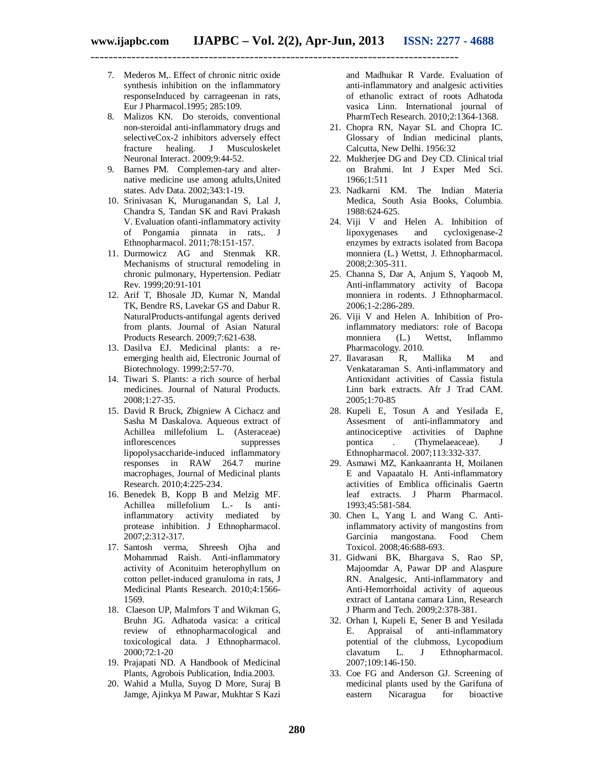- 7. Mederos M,. Effect of chronic nitric oxide synthesis inhibition on the inflammatory responseInduced by carrageenan in rats, Eur J Pharmacol.1995; 285:109.
- 8. Malizos KN. Do steroids, conventional non-steroidal anti-inflammatory drugs and selectiveCox-2 inhibitors adversely effect fracture healing. J Musculoskelet Neuronal Interact. 2009;9:44-52.
- 9. Barnes PM. Complemen-tary and alternative medicine use among adults,United states. Adv Data. 2002;343:1-19.
- 10. Srinivasan K, Muruganandan S, Lal J, Chandra S, Tandan SK and Ravi Prakash V. Evaluation ofanti-inflammatory activity of Pongamia pinnata in rats,. J Ethnopharmacol. 2011;78:151-157.
- 11. Durmowicz AG and Stenmak KR. Mechanisms of structural remodeling in chronic pulmonary, Hypertension. Pediatr Rev. 1999;20:91-101
- 12. Arif T, Bhosale JD, Kumar N, Mandal TK, Bendre RS, Lavekar GS and Dabur R. NaturalProducts-antifungal agents derived from plants. Journal of Asian Natural Products Research. 2009;7:621-638.
- 13. Dasilva EJ. Medicinal plants: a reemerging health aid, Electronic Journal of Biotechnology. 1999;2:57-70.
- 14. Tiwari S. Plants: a rich source of herbal medicines. Journal of Natural Products. 2008;1:27-35.
- 15. David R Bruck, Zbigniew A Cichacz and Sasha M Daskalova. Aqueous extract of Achillea millefolium L. (Asteraceae) inflorescences suppresses lipopolysaccharide-induced inflammatory responses in RAW 264.7 murine macrophages, Journal of Medicinal plants Research. 2010;4:225-234.
- 16. Benedek B, Kopp B and Melzig MF. Achillea millefolium L.- Is antiinflammatory activity mediated by protease inhibition. J Ethnopharmacol. 2007;2:312-317.
- 17. Santosh verma, Shreesh Ojha and Mohammad Raish. Anti-inflammatory activity of Aconituim heterophyllum on cotton pellet-induced granuloma in rats, J Medicinal Plants Research. 2010;4:1566- 1569.
- 18. Claeson UP, Malmfors T and Wikman G, Bruhn JG. Adhatoda vasica: a critical review of ethnopharmacological and toxicological data. J Ethnopharmacol. 2000;72:1-20
- 19. Prajapati ND. A Handbook of Medicinal Plants, Agrobois Publication, India.2003.
- 20. Wahid a Mulla, Suyog D More, Suraj B Jamge, Ajinkya M Pawar, Mukhtar S Kazi

and Madhukar R Varde. Evaluation of anti-inflammatory and analgesic activities of ethanolic extract of roots Adhatoda vasica Linn. International journal of PharmTech Research. 2010;2:1364-1368.

- 21. Chopra RN, Nayar SL and Chopra IC. Glossary of Indian medicinal plants, Calcutta, New Delhi. 1956:32
- 22. Mukherjee DG and Dey CD. Clinical trial on Brahmi. Int J Exper Med Sci. 1966;1:511
- 23. Nadkarni KM. The Indian Materia Medica, South Asia Books, Columbia. 1988:624-625.
- 24. Viji V and Helen A. Inhibition of lipoxygenases and cycloxigenase-2 enzymes by extracts isolated from Bacopa monniera (L.) Wettst, J. Ethnopharmacol. 2008;2:305-311.
- 25. Channa S, Dar A, Anjum S, Yaqoob M, Anti-inflammatory activity of Bacopa monniera in rodents. J Ethnopharmacol. 2006;1-2:286-289.
- 26. Viji V and Helen A. Inhibition of Proinflammatory mediators: role of Bacopa monniera (L.) Wettst, Inflammo Pharmacology. 2010.
- 27. Ilavarasan R, Mallika M and Venkataraman S. Anti-inflammatory and Antioxidant activities of Cassia fistula Linn bark extracts. Afr J Trad CAM. 2005;1:70-85
- 28. Kupeli E, Tosun A and Yesilada E, Assesment of anti-inflammatory and<br>antinociceptive activities of Daphne antinociceptive activities of Daphne<br>pontica . (Thymelaeaceae). J (Thymelaeaceae). J Ethnopharmacol. 2007;113:332-337.
- 29. Asmawi MZ, Kankaanranta H, Moilanen E and Vapaatalo H. Anti-inflammatory activities of Emblica officinalis Gaertn leaf extracts. J Pharm Pharmacol. 1993;45:581-584.
- 30. Chen L, Yang L and Wang C. Antiinflammatory activity of mangostins from Garcinia mangostana. Food Chem Toxicol. 2008;46:688-693.
- 31. Gidwani BK, Bhargava S, Rao SP, Majoomdar A, Pawar DP and Alaspure RN. Analgesic, Anti-inflammatory and Anti-Hemorrhoidal activity of aqueous extract of Lantana camara Linn, Research J Pharm and Tech. 2009;2:378-381.
- 32. Orhan I, Kupeli E, Sener B and Yesilada E. Appraisal of anti-inflammatory potential of the clubmoss, Lycopodium<br>clavatum L. J Ethnopharmacol. J Ethnopharmacol. 2007;109:146-150.
- 33. Coe FG and Anderson GJ. Screening of medicinal plants used by the Garifuna of<br>eastern Nicaragua for bioactive eastern Nicaragua for